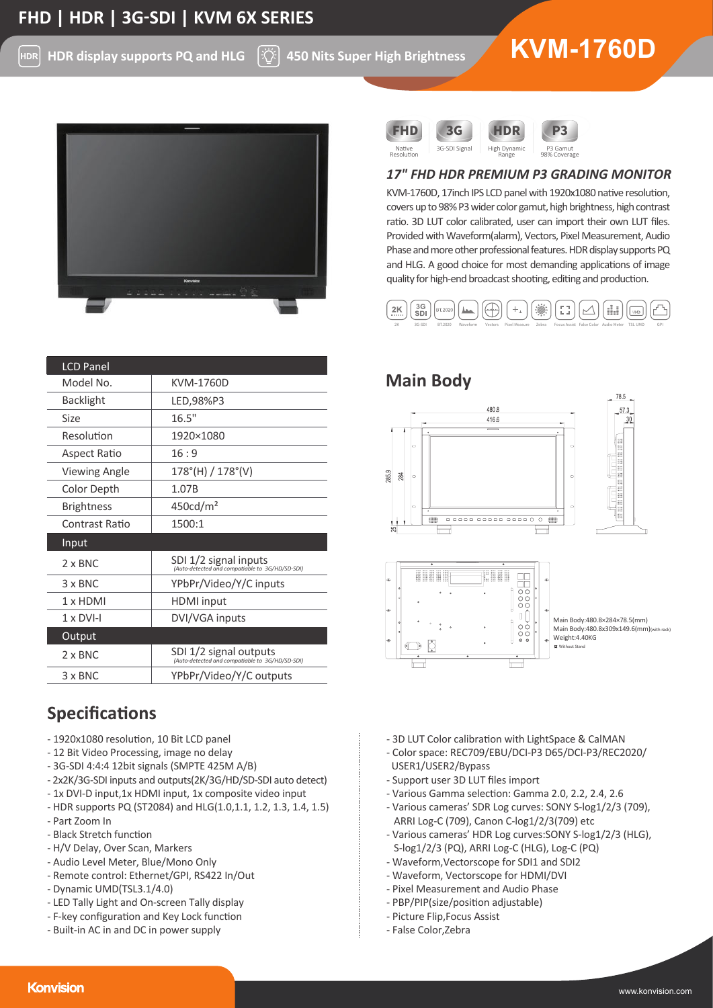HDR **HDR display supports PQ and HLG**

ĿζÝ

# **<sup>450</sup> Nits Super High Brightness KVM-1760D**



| <b>LCD Panel</b>     |                                                                           |
|----------------------|---------------------------------------------------------------------------|
| Model No.            | <b>KVM-1760D</b>                                                          |
| <b>Backlight</b>     | LED,98%P3                                                                 |
| Size                 | 16.5"                                                                     |
| Resolution           | 1920×1080                                                                 |
| Aspect Ratio         | 16:9                                                                      |
| <b>Viewing Angle</b> | $178^{\circ}$ (H) / $178^{\circ}$ (V)                                     |
| Color Depth          | 1.07B                                                                     |
| <b>Brightness</b>    | 450 <sub>cd</sub> /m <sup>2</sup>                                         |
| Contrast Ratio       | 1500:1                                                                    |
| Input                |                                                                           |
| $2 \times BNC$       | SDI 1/2 signal inputs<br>(Auto-detected and compatiable to 3G/HD/SD-SDI)  |
| 3 x BNC              | YPbPr/Video/Y/C inputs                                                    |
| 1 x HDMI             | HDMI input                                                                |
| $1 \times DVI-I$     | DVI/VGA inputs                                                            |
| Output               |                                                                           |
| $2 \times BNC$       | SDI 1/2 signal outputs<br>(Auto-detected and compatiable to 3G/HD/SD-SDI) |
| $3 \times BNC$       | YPbPr/Video/Y/C outputs                                                   |

# **Specifications**

- 1920x1080 resolution, 10 Bit LCD panel
- 12 Bit Video Processing, image no delay
- 3G-SDI 4:4:4 12bit signals (SMPTE 425M A/B)
- 2x2K/3G-SDI inputs and outputs(2K/3G/HD/SD-SDI auto detect)
- 1x DVI-D input,1x HDMI input, 1x composite video input
- HDR supports PQ (ST2084) and HLG(1.0,1.1, 1.2, 1.3, 1.4, 1.5)
- Part Zoom In
- Black Stretch function
- H/V Delay, Over Scan, Markers
- Audio Level Meter, Blue/Mono Only
- Remote control: Ethernet/GPI, RS422 In/Out
- Dynamic UMD(TSL3.1/4.0)
- LED Tally Light and On-screen Tally display
- F-key configuration and Key Lock function
- Built-in AC in and DC in power supply





# *17" FHD HDR PREMIUM P3 GRADING MONITOR*

KVM-1760D, 17inch IPS LCD panel with 1920x1080 native resolution, covers up to 98% P3 wider color gamut, high brightness, high contrast ratio. 3D LUT color calibrated, user can import their own LUT files. Provided with Waveform(alarm), Vectors, Pixel Measurement, Audio Phase and more other professional features. HDR display supports PQ and HLG. A good choice for most demanding applications of image quality for high-end broadcast shooting, editing and production.





- 3D LUT Color calibration with LightSpace & CalMAN
- Color space: REC709/EBU/DCI-P3 D65/DCI-P3/REC2020/ USER1/USER2/Bypass
- Support user 3D LUT files import
- Various Gamma selec�on: Gamma 2.0, 2.2, 2.4, 2.6
- Various cameras' SDR Log curves: SONY S-log1/2/3 (709), ARRI Log-C (709), Canon C-log1/2/3(709) etc
- Various cameras' HDR Log curves:SONY S-log1/2/3 (HLG), S-log1/2/3 (PQ), ARRI Log-C (HLG), Log-C (PQ)
- Waveform,Vectorscope for SDI1 and SDI2
- Waveform, Vectorscope for HDMI/DVI
- Pixel Measurement and Audio Phase
- PBP/PIP(size/position adjustable)
- Picture Flip,Focus Assist
- False Color,Zebra